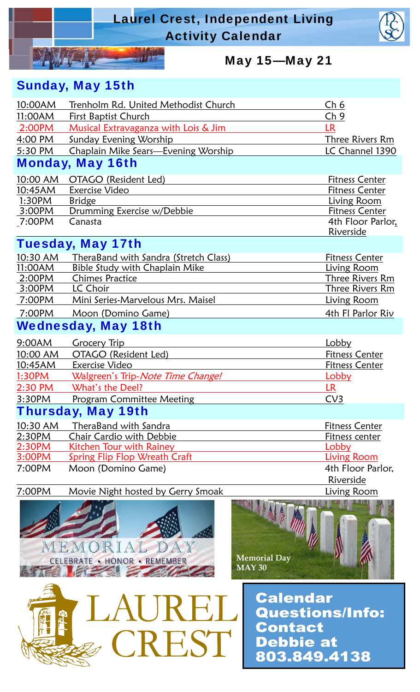

### $M$ ay 15—May 21

#### Sunday, May 15th

| 10:00AM  | Trenholm Rd. United Methodist Church | Ch <sub>6</sub>       |
|----------|--------------------------------------|-----------------------|
| 11:00AM  | First Baptist Church                 | Ch <sub>9</sub>       |
| 2:00PM   | Musical Extravaganza with Lois & Jim | LR                    |
| 4:00 PM  | <b>Sunday Evening Worship</b>        | Three Rivers Rm       |
| 5:30 PM  | Chaplain Mike Sears-Evening Worship  | LC Channel 1390       |
|          | <b>Monday, May 16th</b>              |                       |
| 10:00 AM | OTAGO (Resident Led)                 | <b>Fitness Center</b> |
| 10:45AM  | <b>Exercise Video</b>                | <b>Fitness Center</b> |
| 1:30PM   | <b>Bridge</b>                        | Living Room           |
| 3:00PM   | Drumming Exercise w/Debbie           | <b>Fitness Center</b> |
| 7:00PM   | Canasta                              | 4th Floor Parlor,     |
|          |                                      | Riverside             |

#### Tuesday, May 17th

| 10:30 AM           | TheraBand with Sandra (Stretch Class) | <b>Fitness Center</b> |  |  |
|--------------------|---------------------------------------|-----------------------|--|--|
| 11:00AM            | Bible Study with Chaplain Mike        | Living Room           |  |  |
| 2:00PM             | <b>Chimes Practice</b>                | Three Rivers Rm       |  |  |
| $3:00$ PM          | LC Choir                              | Three Rivers Rm       |  |  |
| 7:00PM             | Mini Series-Marvelous Mrs. Maisel     | Living Room           |  |  |
| 7:00PM             | Moon (Domino Game)                    | 4th Fl Parlor Riv     |  |  |
| Wadnocdow Mow 10th |                                       |                       |  |  |

#### Wednesday, May 18th

| 9:00AM                    | Grocery Trip                      | Lobby                 |  |  |
|---------------------------|-----------------------------------|-----------------------|--|--|
| 10:00 AM                  | OTAGO (Resident Led)              | <b>Fitness Center</b> |  |  |
| 10:45AM                   | <b>Exercise Video</b>             | <b>Fitness Center</b> |  |  |
| 1:30PM                    | Walgreen's Trip-Note Time Change! | Lobby                 |  |  |
| 2:30 PM                   | What's the Deel?                  | <b>LR</b>             |  |  |
| 3:30PM                    | <b>Program Committee Meeting</b>  | CV3                   |  |  |
| <b>Thursday, May 19th</b> |                                   |                       |  |  |
| 10:30 AM                  | TheraBand with Sandra             | <b>Fitness Center</b> |  |  |
| 2:30PM                    | Chair Cardio with Debbie          | Fitness center        |  |  |
| 2:30PM                    | Kitchen Tour with Rainey          | Lobby                 |  |  |

3:00PM Spring Flip Flop Wreath Craft Living Room 7:00PM Moon (Domino Game) 4th Floor Parlor, Riverside

7:00PM Movie Night hosted by Gerry Smoak Living Room





**Calendar Questions/Info: Contact Debbie at** 803.849.4138